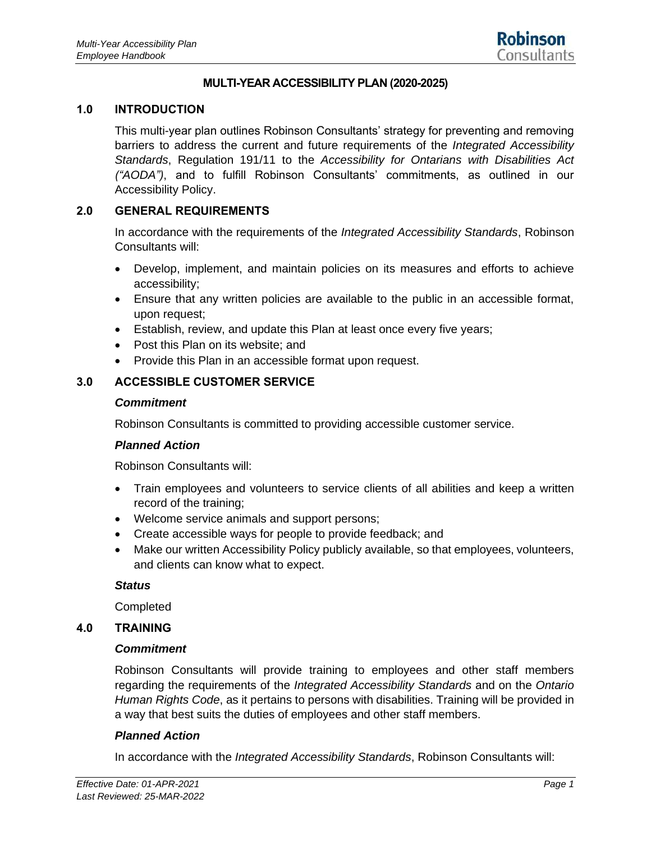#### **MULTI-YEAR ACCESSIBILITY PLAN (2020-2025)**

#### **1.0 INTRODUCTION**

This multi-year plan outlines Robinson Consultants' strategy for preventing and removing barriers to address the current and future requirements of the *Integrated Accessibility Standards*, Regulation 191/11 to the *Accessibility for Ontarians with Disabilities Act ("AODA")*, and to fulfill Robinson Consultants' commitments, as outlined in our Accessibility Policy.

#### **2.0 GENERAL REQUIREMENTS**

In accordance with the requirements of the *Integrated Accessibility Standards*, Robinson Consultants will:

- Develop, implement, and maintain policies on its measures and efforts to achieve accessibility;
- Ensure that any written policies are available to the public in an accessible format, upon request;
- Establish, review, and update this Plan at least once every five years;
- Post this Plan on its website; and
- Provide this Plan in an accessible format upon request.

### **3.0 ACCESSIBLE CUSTOMER SERVICE**

#### *Commitment*

Robinson Consultants is committed to providing accessible customer service.

#### *Planned Action*

Robinson Consultants will:

- Train employees and volunteers to service clients of all abilities and keep a written record of the training;
- Welcome service animals and support persons;
- Create accessible ways for people to provide feedback; and
- Make our written Accessibility Policy publicly available, so that employees, volunteers, and clients can know what to expect.

#### *Status*

Completed

#### **4.0 TRAINING**

#### *Commitment*

Robinson Consultants will provide training to employees and other staff members regarding the requirements of the *Integrated Accessibility Standards* and on the *Ontario Human Rights Code*, as it pertains to persons with disabilities. Training will be provided in a way that best suits the duties of employees and other staff members.

#### *Planned Action*

In accordance with the *Integrated Accessibility Standards*, Robinson Consultants will: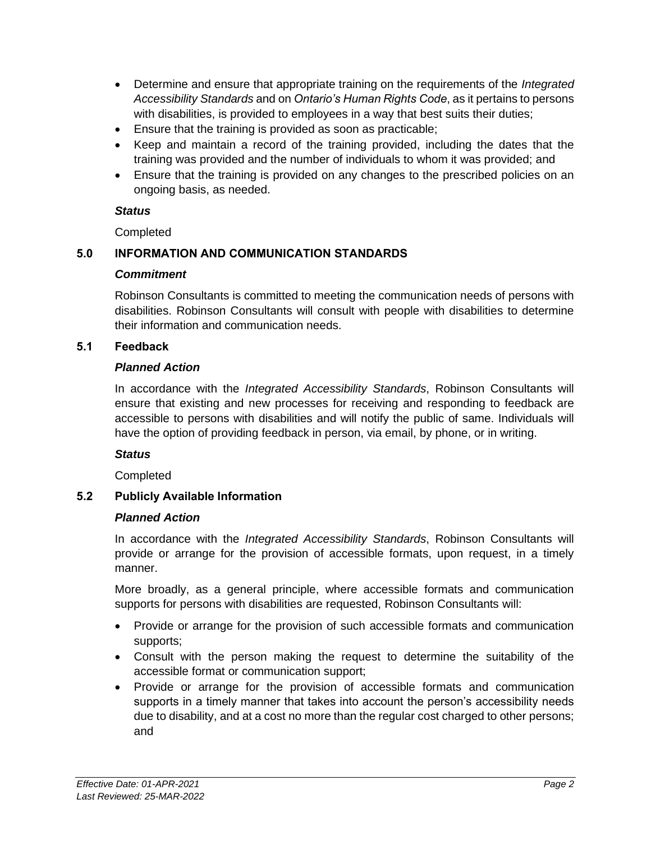- Determine and ensure that appropriate training on the requirements of the *Integrated Accessibility Standards* and on *Ontario's Human Rights Code*, as it pertains to persons with disabilities, is provided to employees in a way that best suits their duties;
- Ensure that the training is provided as soon as practicable;
- Keep and maintain a record of the training provided, including the dates that the training was provided and the number of individuals to whom it was provided; and
- Ensure that the training is provided on any changes to the prescribed policies on an ongoing basis, as needed.

### *Status*

**Completed** 

# **5.0 INFORMATION AND COMMUNICATION STANDARDS**

### *Commitment*

Robinson Consultants is committed to meeting the communication needs of persons with disabilities. Robinson Consultants will consult with people with disabilities to determine their information and communication needs.

## **5.1 Feedback**

## *Planned Action*

In accordance with the *Integrated Accessibility Standards*, Robinson Consultants will ensure that existing and new processes for receiving and responding to feedback are accessible to persons with disabilities and will notify the public of same. Individuals will have the option of providing feedback in person, via email, by phone, or in writing.

## *Status*

**Completed** 

# **5.2 Publicly Available Information**

## *Planned Action*

In accordance with the *Integrated Accessibility Standards*, Robinson Consultants will provide or arrange for the provision of accessible formats, upon request, in a timely manner.

More broadly, as a general principle, where accessible formats and communication supports for persons with disabilities are requested, Robinson Consultants will:

- Provide or arrange for the provision of such accessible formats and communication supports;
- Consult with the person making the request to determine the suitability of the accessible format or communication support;
- Provide or arrange for the provision of accessible formats and communication supports in a timely manner that takes into account the person's accessibility needs due to disability, and at a cost no more than the regular cost charged to other persons; and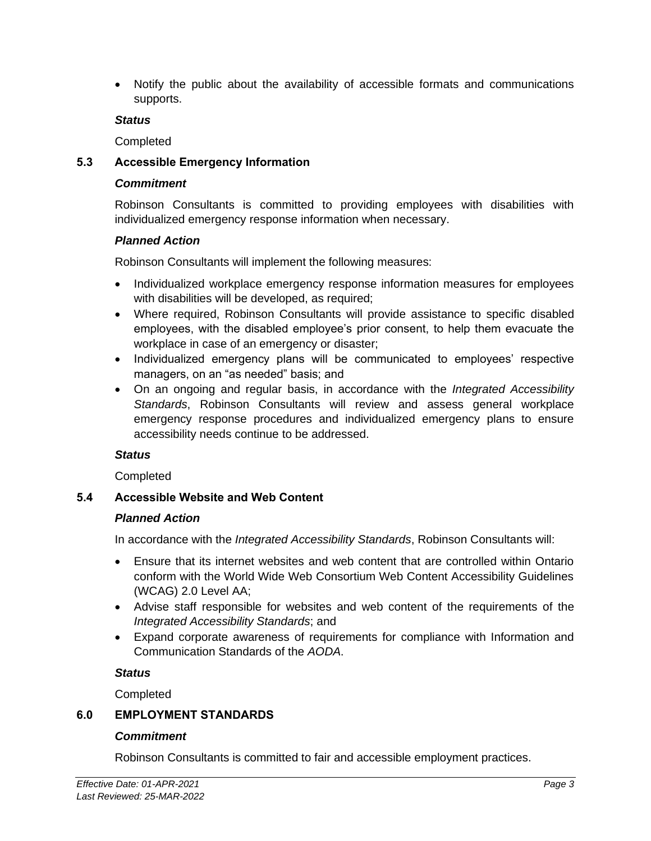• Notify the public about the availability of accessible formats and communications supports.

#### *Status*

Completed

### **5.3 Accessible Emergency Information**

#### *Commitment*

Robinson Consultants is committed to providing employees with disabilities with individualized emergency response information when necessary.

### *Planned Action*

Robinson Consultants will implement the following measures:

- Individualized workplace emergency response information measures for employees with disabilities will be developed, as required;
- Where required, Robinson Consultants will provide assistance to specific disabled employees, with the disabled employee's prior consent, to help them evacuate the workplace in case of an emergency or disaster;
- Individualized emergency plans will be communicated to employees' respective managers, on an "as needed" basis; and
- On an ongoing and regular basis, in accordance with the *Integrated Accessibility Standards*, Robinson Consultants will review and assess general workplace emergency response procedures and individualized emergency plans to ensure accessibility needs continue to be addressed.

### *Status*

**Completed** 

### **5.4 Accessible Website and Web Content**

### *Planned Action*

In accordance with the *Integrated Accessibility Standards*, Robinson Consultants will:

- Ensure that its internet websites and web content that are controlled within Ontario conform with the World Wide Web Consortium Web Content Accessibility Guidelines (WCAG) 2.0 Level AA;
- Advise staff responsible for websites and web content of the requirements of the *Integrated Accessibility Standards*; and
- Expand corporate awareness of requirements for compliance with Information and Communication Standards of the *AODA*.

### *Status*

**Completed** 

## **6.0 EMPLOYMENT STANDARDS**

### *Commitment*

Robinson Consultants is committed to fair and accessible employment practices.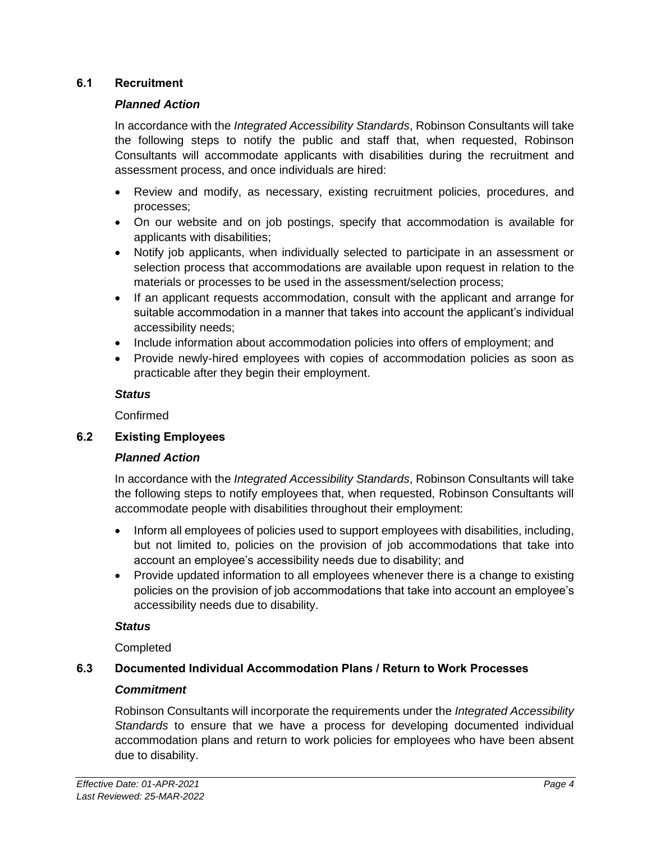### **6.1 Recruitment**

### *Planned Action*

In accordance with the *Integrated Accessibility Standards*, Robinson Consultants will take the following steps to notify the public and staff that, when requested, Robinson Consultants will accommodate applicants with disabilities during the recruitment and assessment process, and once individuals are hired:

- Review and modify, as necessary, existing recruitment policies, procedures, and processes;
- On our website and on job postings, specify that accommodation is available for applicants with disabilities;
- Notify job applicants, when individually selected to participate in an assessment or selection process that accommodations are available upon request in relation to the materials or processes to be used in the assessment/selection process;
- If an applicant requests accommodation, consult with the applicant and arrange for suitable accommodation in a manner that takes into account the applicant's individual accessibility needs;
- Include information about accommodation policies into offers of employment; and
- Provide newly-hired employees with copies of accommodation policies as soon as practicable after they begin their employment.

### *Status*

Confirmed

## **6.2 Existing Employees**

## *Planned Action*

In accordance with the *Integrated Accessibility Standards*, Robinson Consultants will take the following steps to notify employees that, when requested, Robinson Consultants will accommodate people with disabilities throughout their employment:

- Inform all employees of policies used to support employees with disabilities, including, but not limited to, policies on the provision of job accommodations that take into account an employee's accessibility needs due to disability; and
- Provide updated information to all employees whenever there is a change to existing policies on the provision of job accommodations that take into account an employee's accessibility needs due to disability.

## *Status*

**Completed** 

## **6.3 Documented Individual Accommodation Plans / Return to Work Processes**

## *Commitment*

Robinson Consultants will incorporate the requirements under the *Integrated Accessibility Standards* to ensure that we have a process for developing documented individual accommodation plans and return to work policies for employees who have been absent due to disability.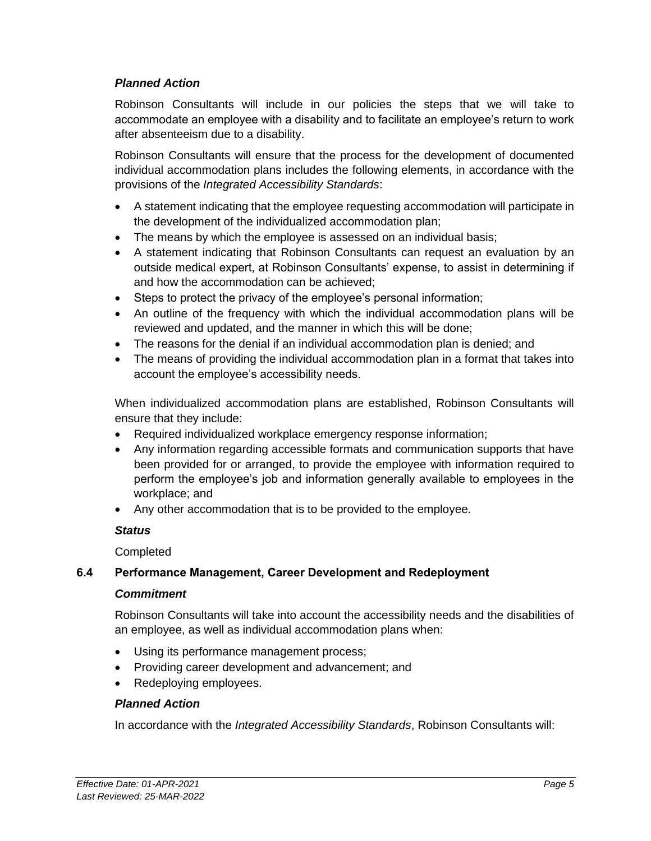## *Planned Action*

Robinson Consultants will include in our policies the steps that we will take to accommodate an employee with a disability and to facilitate an employee's return to work after absenteeism due to a disability.

Robinson Consultants will ensure that the process for the development of documented individual accommodation plans includes the following elements, in accordance with the provisions of the *Integrated Accessibility Standards*:

- A statement indicating that the employee requesting accommodation will participate in the development of the individualized accommodation plan;
- The means by which the employee is assessed on an individual basis;
- A statement indicating that Robinson Consultants can request an evaluation by an outside medical expert, at Robinson Consultants' expense, to assist in determining if and how the accommodation can be achieved;
- Steps to protect the privacy of the employee's personal information;
- An outline of the frequency with which the individual accommodation plans will be reviewed and updated, and the manner in which this will be done;
- The reasons for the denial if an individual accommodation plan is denied; and
- The means of providing the individual accommodation plan in a format that takes into account the employee's accessibility needs.

When individualized accommodation plans are established, Robinson Consultants will ensure that they include:

- Required individualized workplace emergency response information;
- Any information regarding accessible formats and communication supports that have been provided for or arranged, to provide the employee with information required to perform the employee's job and information generally available to employees in the workplace; and
- Any other accommodation that is to be provided to the employee.

### *Status*

**Completed** 

## **6.4 Performance Management, Career Development and Redeployment**

### *Commitment*

Robinson Consultants will take into account the accessibility needs and the disabilities of an employee, as well as individual accommodation plans when:

- Using its performance management process;
- Providing career development and advancement; and
- Redeploying employees.

### *Planned Action*

In accordance with the *Integrated Accessibility Standards*, Robinson Consultants will: